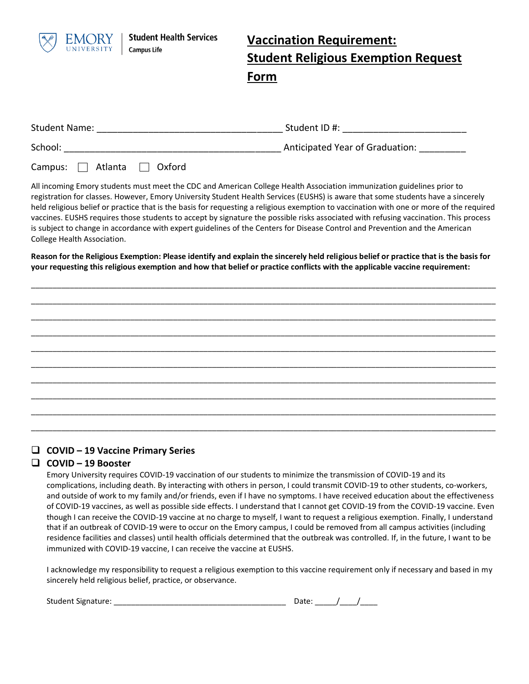

# **Vaccination Requirement: Student Religious Exemption Request Form**

| <b>Student Name:</b> | Student ID #:                   |
|----------------------|---------------------------------|
| School:              | Anticipated Year of Graduation: |
|                      |                                 |

Campus:  $\Box$  Atlanta  $\Box$  Oxford

All incoming Emory students must meet the CDC and American College Health Association immunization guidelines prior to registration for classes. However, Emory University Student Health Services (EUSHS) is aware that some students have a sincerely held religious belief or practice that is the basis for requesting a religious exemption to vaccination with one or more of the required vaccines. EUSHS requires those students to accept by signature the possible risks associated with refusing vaccination. This process is subject to change in accordance with expert guidelines of the Centers for Disease Control and Prevention and the American College Health Association.

**Reason for the Religious Exemption: Please identify and explain the sincerely held religious belief or practice that is the basis for your requesting this religious exemption and how that belief or practice conflicts with the applicable vaccine requirement:**

\_\_\_\_\_\_\_\_\_\_\_\_\_\_\_\_\_\_\_\_\_\_\_\_\_\_\_\_\_\_\_\_\_\_\_\_\_\_\_\_\_\_\_\_\_\_\_\_\_\_\_\_\_\_\_\_\_\_\_\_\_\_\_\_\_\_\_\_\_\_\_\_\_\_\_\_\_\_\_\_\_\_\_\_\_\_\_\_\_\_\_\_\_\_\_\_\_\_\_\_\_\_\_\_\_\_\_\_ \_\_\_\_\_\_\_\_\_\_\_\_\_\_\_\_\_\_\_\_\_\_\_\_\_\_\_\_\_\_\_\_\_\_\_\_\_\_\_\_\_\_\_\_\_\_\_\_\_\_\_\_\_\_\_\_\_\_\_\_\_\_\_\_\_\_\_\_\_\_\_\_\_\_\_\_\_\_\_\_\_\_\_\_\_\_\_\_\_\_\_\_\_\_\_\_\_\_\_\_\_\_\_\_\_\_\_\_ \_\_\_\_\_\_\_\_\_\_\_\_\_\_\_\_\_\_\_\_\_\_\_\_\_\_\_\_\_\_\_\_\_\_\_\_\_\_\_\_\_\_\_\_\_\_\_\_\_\_\_\_\_\_\_\_\_\_\_\_\_\_\_\_\_\_\_\_\_\_\_\_\_\_\_\_\_\_\_\_\_\_\_\_\_\_\_\_\_\_\_\_\_\_\_\_\_\_\_\_\_\_\_\_\_\_\_\_ \_\_\_\_\_\_\_\_\_\_\_\_\_\_\_\_\_\_\_\_\_\_\_\_\_\_\_\_\_\_\_\_\_\_\_\_\_\_\_\_\_\_\_\_\_\_\_\_\_\_\_\_\_\_\_\_\_\_\_\_\_\_\_\_\_\_\_\_\_\_\_\_\_\_\_\_\_\_\_\_\_\_\_\_\_\_\_\_\_\_\_\_\_\_\_\_\_\_\_\_\_\_\_\_\_\_\_\_ \_\_\_\_\_\_\_\_\_\_\_\_\_\_\_\_\_\_\_\_\_\_\_\_\_\_\_\_\_\_\_\_\_\_\_\_\_\_\_\_\_\_\_\_\_\_\_\_\_\_\_\_\_\_\_\_\_\_\_\_\_\_\_\_\_\_\_\_\_\_\_\_\_\_\_\_\_\_\_\_\_\_\_\_\_\_\_\_\_\_\_\_\_\_\_\_\_\_\_\_\_\_\_\_\_\_\_\_ \_\_\_\_\_\_\_\_\_\_\_\_\_\_\_\_\_\_\_\_\_\_\_\_\_\_\_\_\_\_\_\_\_\_\_\_\_\_\_\_\_\_\_\_\_\_\_\_\_\_\_\_\_\_\_\_\_\_\_\_\_\_\_\_\_\_\_\_\_\_\_\_\_\_\_\_\_\_\_\_\_\_\_\_\_\_\_\_\_\_\_\_\_\_\_\_\_\_\_\_\_\_\_\_\_\_\_\_ \_\_\_\_\_\_\_\_\_\_\_\_\_\_\_\_\_\_\_\_\_\_\_\_\_\_\_\_\_\_\_\_\_\_\_\_\_\_\_\_\_\_\_\_\_\_\_\_\_\_\_\_\_\_\_\_\_\_\_\_\_\_\_\_\_\_\_\_\_\_\_\_\_\_\_\_\_\_\_\_\_\_\_\_\_\_\_\_\_\_\_\_\_\_\_\_\_\_\_\_\_\_\_\_\_\_\_\_ \_\_\_\_\_\_\_\_\_\_\_\_\_\_\_\_\_\_\_\_\_\_\_\_\_\_\_\_\_\_\_\_\_\_\_\_\_\_\_\_\_\_\_\_\_\_\_\_\_\_\_\_\_\_\_\_\_\_\_\_\_\_\_\_\_\_\_\_\_\_\_\_\_\_\_\_\_\_\_\_\_\_\_\_\_\_\_\_\_\_\_\_\_\_\_\_\_\_\_\_\_\_\_\_\_\_\_\_ \_\_\_\_\_\_\_\_\_\_\_\_\_\_\_\_\_\_\_\_\_\_\_\_\_\_\_\_\_\_\_\_\_\_\_\_\_\_\_\_\_\_\_\_\_\_\_\_\_\_\_\_\_\_\_\_\_\_\_\_\_\_\_\_\_\_\_\_\_\_\_\_\_\_\_\_\_\_\_\_\_\_\_\_\_\_\_\_\_\_\_\_\_\_\_\_\_\_\_\_\_\_\_\_\_\_\_\_ \_\_\_\_\_\_\_\_\_\_\_\_\_\_\_\_\_\_\_\_\_\_\_\_\_\_\_\_\_\_\_\_\_\_\_\_\_\_\_\_\_\_\_\_\_\_\_\_\_\_\_\_\_\_\_\_\_\_\_\_\_\_\_\_\_\_\_\_\_\_\_\_\_\_\_\_\_\_\_\_\_\_\_\_\_\_\_\_\_\_\_\_\_\_\_\_\_\_\_\_\_\_\_\_\_\_\_\_

# ❑ **COVID – 19 Vaccine Primary Series**

#### ❑ **COVID – 19 Booster**

Emory University requires COVID-19 vaccination of our students to minimize the transmission of COVID-19 and its complications, including death. By interacting with others in person, I could transmit COVID-19 to other students, co-workers, and outside of work to my family and/or friends, even if I have no symptoms. I have received education about the effectiveness of COVID-19 vaccines, as well as possible side effects. I understand that I cannot get COVID-19 from the COVID-19 vaccine. Even though I can receive the COVID-19 vaccine at no charge to myself, I want to request a religious exemption. Finally, I understand that if an outbreak of COVID-19 were to occur on the Emory campus, I could be removed from all campus activities (including residence facilities and classes) until health officials determined that the outbreak was controlled. If, in the future, I want to be immunized with COVID-19 vaccine, I can receive the vaccine at EUSHS.

I acknowledge my responsibility to request a religious exemption to this vaccine requirement only if necessary and based in my sincerely held religious belief, practice, or observance.

| <b>Student Signature:</b> |  |  |  |
|---------------------------|--|--|--|
|---------------------------|--|--|--|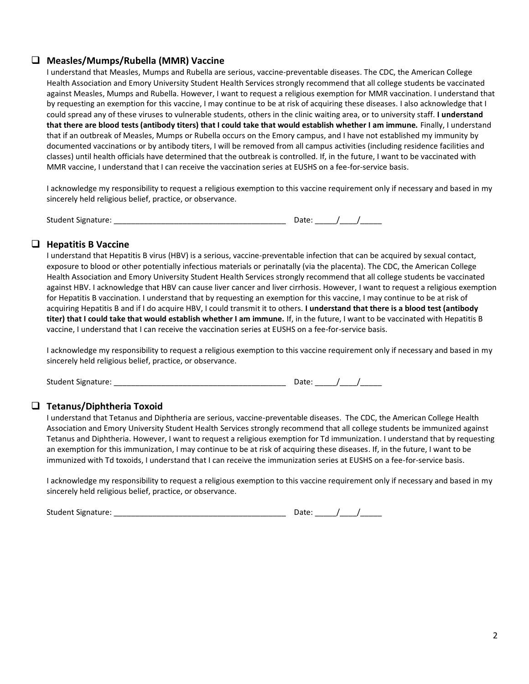#### ❑ **Measles/Mumps/Rubella (MMR) Vaccine**

I understand that Measles, Mumps and Rubella are serious, vaccine-preventable diseases. The CDC, the American College Health Association and Emory University Student Health Services strongly recommend that all college students be vaccinated against Measles, Mumps and Rubella. However, I want to request a religious exemption for MMR vaccination. I understand that by requesting an exemption for this vaccine, I may continue to be at risk of acquiring these diseases. I also acknowledge that I could spread any of these viruses to vulnerable students, others in the clinic waiting area, or to university staff. **I understand that there are blood tests (antibody titers) that I could take that would establish whether I am immune.** Finally, I understand that if an outbreak of Measles, Mumps or Rubella occurs on the Emory campus, and I have not established my immunity by documented vaccinations or by antibody titers, I will be removed from all campus activities (including residence facilities and classes) until health officials have determined that the outbreak is controlled. If, in the future, I want to be vaccinated with MMR vaccine, I understand that I can receive the vaccination series at EUSHS on a fee-for-service basis.

I acknowledge my responsibility to request a religious exemption to this vaccine requirement only if necessary and based in my sincerely held religious belief, practice, or observance.

Student Signature:  $\Box$ 

# ❑ **Hepatitis B Vaccine**

I understand that Hepatitis B virus (HBV) is a serious, vaccine-preventable infection that can be acquired by sexual contact, exposure to blood or other potentially infectious materials or perinatally (via the placenta). The CDC, the American College Health Association and Emory University Student Health Services strongly recommend that all college students be vaccinated against HBV. I acknowledge that HBV can cause liver cancer and liver cirrhosis. However, I want to request a religious exemption for Hepatitis B vaccination. I understand that by requesting an exemption for this vaccine, I may continue to be at risk of acquiring Hepatitis B and if I do acquire HBV, I could transmit it to others. **I understand that there is a blood test (antibody titer) that I could take that would establish whether I am immune.** If, in the future, I want to be vaccinated with Hepatitis B vaccine, I understand that I can receive the vaccination series at EUSHS on a fee-for-service basis.

I acknowledge my responsibility to request a religious exemption to this vaccine requirement only if necessary and based in my sincerely held religious belief, practice, or observance.

Student Signature:  $\Box$ 

# ❑ **Tetanus/Diphtheria Toxoid**

I understand that Tetanus and Diphtheria are serious, vaccine-preventable diseases. The CDC, the American College Health Association and Emory University Student Health Services strongly recommend that all college students be immunized against Tetanus and Diphtheria. However, I want to request a religious exemption for Td immunization. I understand that by requesting an exemption for this immunization, I may continue to be at risk of acquiring these diseases. If, in the future, I want to be immunized with Td toxoids, I understand that I can receive the immunization series at EUSHS on a fee-for-service basis.

I acknowledge my responsibility to request a religious exemption to this vaccine requirement only if necessary and based in my sincerely held religious belief, practice, or observance.

| <b>Student Signature:</b> |
|---------------------------|
|---------------------------|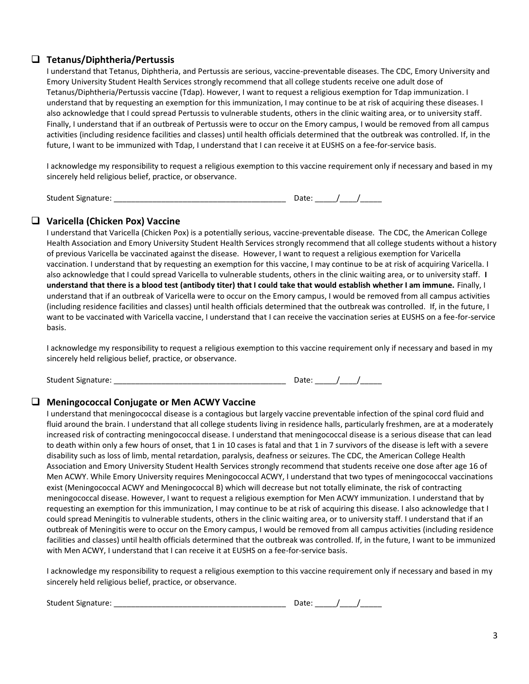### ❑ **Tetanus/Diphtheria/Pertussis**

I understand that Tetanus, Diphtheria, and Pertussis are serious, vaccine-preventable diseases. The CDC, Emory University and Emory University Student Health Services strongly recommend that all college students receive one adult dose of Tetanus/Diphtheria/Pertussis vaccine (Tdap). However, I want to request a religious exemption for Tdap immunization. I understand that by requesting an exemption for this immunization, I may continue to be at risk of acquiring these diseases. I also acknowledge that I could spread Pertussis to vulnerable students, others in the clinic waiting area, or to university staff. Finally, I understand that if an outbreak of Pertussis were to occur on the Emory campus, I would be removed from all campus activities (including residence facilities and classes) until health officials determined that the outbreak was controlled. If, in the future, I want to be immunized with Tdap, I understand that I can receive it at EUSHS on a fee-for-service basis.

I acknowledge my responsibility to request a religious exemption to this vaccine requirement only if necessary and based in my sincerely held religious belief, practice, or observance.

Student Signature:  $\Box$ 

# ❑ **Varicella (Chicken Pox) Vaccine**

I understand that Varicella (Chicken Pox) is a potentially serious, vaccine-preventable disease. The CDC, the American College Health Association and Emory University Student Health Services strongly recommend that all college students without a history of previous Varicella be vaccinated against the disease. However, I want to request a religious exemption for Varicella vaccination. I understand that by requesting an exemption for this vaccine, I may continue to be at risk of acquiring Varicella. I also acknowledge that I could spread Varicella to vulnerable students, others in the clinic waiting area, or to university staff. **I understand that there is a blood test (antibody titer) that I could take that would establish whether I am immune.** Finally, I understand that if an outbreak of Varicella were to occur on the Emory campus, I would be removed from all campus activities (including residence facilities and classes) until health officials determined that the outbreak was controlled. If, in the future, I want to be vaccinated with Varicella vaccine, I understand that I can receive the vaccination series at EUSHS on a fee-for-service basis.

I acknowledge my responsibility to request a religious exemption to this vaccine requirement only if necessary and based in my sincerely held religious belief, practice, or observance.

Student Signature:  $\sqrt{2\pi}$  Date:  $\sqrt{2\pi}$ 

#### ❑ **Meningococcal Conjugate or Men ACWY Vaccine**

I understand that meningococcal disease is a contagious but largely vaccine preventable infection of the spinal cord fluid and fluid around the brain. I understand that all college students living in residence halls, particularly freshmen, are at a moderately increased risk of contracting meningococcal disease. I understand that meningococcal disease is a serious disease that can lead to death within only a few hours of onset, that 1 in 10 cases is fatal and that 1 in 7 survivors of the disease is left with a severe disability such as loss of limb, mental retardation, paralysis, deafness or seizures. The CDC, the American College Health Association and Emory University Student Health Services strongly recommend that students receive one dose after age 16 of Men ACWY. While Emory University requires Meningococcal ACWY, I understand that two types of meningococcal vaccinations exist (Meningococcal ACWY and Meningococcal B) which will decrease but not totally eliminate, the risk of contracting meningococcal disease. However, I want to request a religious exemption for Men ACWY immunization. I understand that by requesting an exemption for this immunization, I may continue to be at risk of acquiring this disease. I also acknowledge that I could spread Meningitis to vulnerable students, others in the clinic waiting area, or to university staff. I understand that if an outbreak of Meningitis were to occur on the Emory campus, I would be removed from all campus activities (including residence facilities and classes) until health officials determined that the outbreak was controlled. If, in the future, I want to be immunized with Men ACWY, I understand that I can receive it at EUSHS on a fee-for-service basis.

I acknowledge my responsibility to request a religious exemption to this vaccine requirement only if necessary and based in my sincerely held religious belief, practice, or observance.

| <b>Student Signature:</b> |  |  |
|---------------------------|--|--|
|                           |  |  |